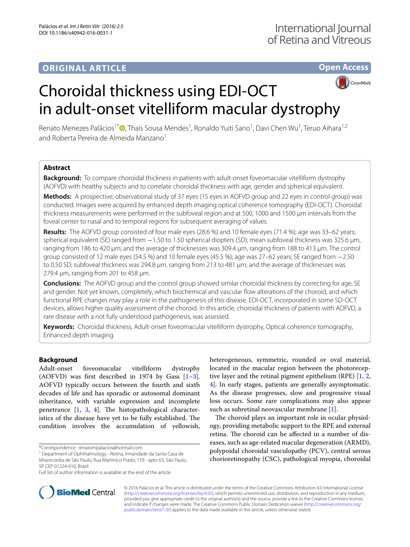### **ORIGINAL ARTICLE**

## **Open Access**



# Choroidal thickness using EDI-OCT in adult-onset vitelliform macular dystrophy

Renato Menezes Palácios<sup>1\*</sup>®[,](http://orcid.org/0000-0003-2682-9899) Thaís Sousa Mendes<sup>1</sup>, Ronaldo Yuiti Sano<sup>1</sup>, Davi Chen Wu<sup>1</sup>, Teruo Aihara<sup>1,2</sup> and Roberta Pereira de Almeida Manzano<sup>1</sup>

#### **Abstract**

**Background:** To compare choroidal thickness in patients with adult-onset foveomacular vitelliform dystrophy (AOFVD) with healthy subjects and to correlate choroidal thickness with age, gender and spherical equivalent.

**Methods:** A prospective, observational study of 37 eyes (15 eyes in AOFVD group and 22 eyes in control group) was conducted. Images were acquired by enhanced depth imaging optical coherence tomography (EDI-OCT). Choroidal thickness measurements were performed in the subfoveal region and at 500, 1000 and 1500 µm intervals from the foveal center to nasal and to temporal regions for subsequent averaging of values.

**Results:** The AOFVD group consisted of four male eyes (28.6 %) and 10 female eyes (71.4 %); age was 33–62 years; spherical equivalent (SE) ranged from −1.50 to 1.50 spherical diopters (SD); mean subfoveal thickness was 325.6 µm, ranging from 186 to 420 µm; and the average of thicknesses was 309.4 µm, ranging from 188 to 413 µm. The control group consisted of 12 male eyes (54.5 %) and 10 female eyes (45.5 %); age was 27–62 years; SE ranged from −2.50 to 0.50 SD; subfoveal thickness was 294.8 µm, ranging from 213 to 481 µm; and the average of thicknesses was 279.4 µm, ranging from 201 to 458 µm.

**Conclusions:** The AOFVD group and the control group showed similar choroidal thickness by correcting for age, SE and gender. Not yet known, completely, which biochemical and vascular flow alterations of the choroid, and which functional RPE changes may play a role in the pathogenesis of this disease. EDI-OCT, incorporated in some SD-OCT devices, allows higher quality assessment of the choroid. In this article, choroidal thickness of patients with AOFVD, a rare disease with a not fully understood pathogenesis, was assessed.

**Keywords:** Choroidal thickness, Adult-onset foveomacular vitelliform dystrophy, Optical coherence tomography, Enhanced depth imaging

#### **Background**

Adult-onset foveomacular vitelliform dystrophy (AOFVD) was first described in 1974 by Gass  $[1-3]$  $[1-3]$ . AOFVD typically occurs between the fourth and sixth decades of life and has sporadic or autosomal dominant inheritance, with variable expression and incomplete penetrance  $\begin{bmatrix} 1, 3, 4 \end{bmatrix}$  $\begin{bmatrix} 1, 3, 4 \end{bmatrix}$  $\begin{bmatrix} 1, 3, 4 \end{bmatrix}$  $\begin{bmatrix} 1, 3, 4 \end{bmatrix}$  $\begin{bmatrix} 1, 3, 4 \end{bmatrix}$  $\begin{bmatrix} 1, 3, 4 \end{bmatrix}$  $\begin{bmatrix} 1, 3, 4 \end{bmatrix}$ . The histopathological characteristics of the disease have yet to be fully established. The condition involves the accumulation of yellowish,

<sup>1</sup> Department of Ophthalmology - Retina, Irmandade da Santa Casa de Misericordia de São Paulo, Rua Martinico Prado, 159 - apto 63, São Paulo,



The choroid plays an important role in ocular physiology, providing metabolic support to the RPE and external retina. The choroid can be affected in a number of diseases, such as age-related macular degeneration (ARMD), polypoidal choroidal vasculopathy (PCV), central serous chorioretinopathy (CSC), pathological myopia, choroidal



© 2016 Palácios et al. This article is distributed under the terms of the Creative Commons Attribution 4.0 International License [\(http://creativecommons.org/licenses/by/4.0/\)](http://creativecommons.org/licenses/by/4.0/), which permits unrestricted use, distribution, and reproduction in any medium, provided you give appropriate credit to the original author(s) and the source, provide a link to the Creative Commons license, and indicate if changes were made. The Creative Commons Public Domain Dedication waiver ([http://creativecommons.org/](http://creativecommons.org/publicdomain/zero/1.0/) [publicdomain/zero/1.0/](http://creativecommons.org/publicdomain/zero/1.0/)) applies to the data made available in this article, unless otherwise stated.

<sup>\*</sup>Correspondence: renatompalacios@hotmail.com

SP CEP 01224-010, Brazil

Full list of author information is available at the end of the article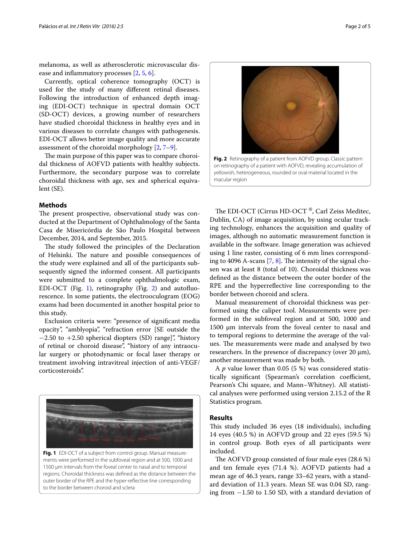melanoma, as well as atherosclerotic microvascular disease and inflammatory processes [[2](#page-4-3), [5,](#page-4-4) [6](#page-4-5)].

Currently, optical coherence tomography (OCT) is used for the study of many different retinal diseases. Following the introduction of enhanced depth imaging (EDI-OCT) technique in spectral domain OCT (SD-OCT) devices, a growing number of researchers have studied choroidal thickness in healthy eyes and in various diseases to correlate changes with pathogenesis. EDI-OCT allows better image quality and more accurate assessment of the choroidal morphology [\[2](#page-4-3), [7–](#page-4-6)[9](#page-4-7)].

The main purpose of this paper was to compare choroidal thickness of AOFVD patients with healthy subjects. Furthermore, the secondary purpose was to correlate choroidal thickness with age, sex and spherical equivalent (SE).

#### **Methods**

The present prospective, observational study was conducted at the Department of Ophthalmology of the Santa Casa de Misericórdia de São Paulo Hospital between December, 2014, and September, 2015.

The study followed the principles of the Declaration of Helsinki. The nature and possible consequences of the study were explained and all of the participants subsequently signed the informed consent. All participants were submitted to a complete ophthalmologic exam, EDI-OCT (Fig. [1](#page-1-0)), retinography (Fig. [2](#page-1-1)) and autofluorescence. In some patients, the electrooculogram (EOG) exams had been documented in another hospital prior to this study.

Exclusion criteria were: "presence of significant media opacity", "amblyopia", "refraction error [SE outside the  $-2.50$  to  $+2.50$  spherical diopters (SD) range]", "history of retinal or choroid disease", "history of any intraocular surgery or photodynamic or focal laser therapy or treatment involving intravitreal injection of anti-VEGF/ corticosteroids".



<span id="page-1-0"></span>**Fig. 1** EDI-OCT of a subject from control group. Manual measurements were performed in the subfoveal region and at 500, 1000 and 1500 µm intervals from the foveal center to nasal and to temporal regions. Choroidal thickness was defined as the distance between the outer border of the RPE and the hyper-reflective line corresponding to the border between choroid and sclera



<span id="page-1-1"></span>on retinography of a patient with AOFVD, revealing accumulation of yellowish, heterogeneous, rounded or oval material located in the macular region

The EDI-OCT (Cirrus HD-OCT ®, Carl Zeiss Meditec, Dublin, CA) of image acquisition, by using ocular tracking technology, enhances the acquisition and quality of images, although no automatic measurement function is available in the software. Image generation was achieved using 1 line raster, consisting of 6 mm lines corresponding to 4096 A-scans [[7,](#page-4-6) [8](#page-4-8)]. The intensity of the signal chosen was at least 8 (total of 10). Choroidal thickness was defined as the distance between the outer border of the RPE and the hyperreflective line corresponding to the border between choroid and sclera.

Manual measurement of choroidal thickness was performed using the caliper tool. Measurements were performed in the subfoveal region and at 500, 1000 and 1500  $\mu$ m intervals from the foveal center to nasal and to temporal regions to determine the average of the values. The measurements were made and analysed by two researchers. In the presence of discrepancy (over 20 µm), another measurement was made by both.

A *p* value lower than 0.05 (5 %) was considered statistically significant (Spearman's correlation coefficient, Pearson's Chi square, and Mann–Whitney). All statistical analyses were performed using version 2.15.2 of the R Statistics program.

#### **Results**

This study included 36 eyes (18 individuals), including 14 eyes (40.5 %) in AOFVD group and 22 eyes (59.5 %) in control group. Both eyes of all participants were included.

The AOFVD group consisted of four male eyes (28.6 %) and ten female eyes (71.4 %). AOFVD patients had a mean age of 46.3 years, range 33–62 years, with a standard deviation of 11.3 years. Mean SE was 0.04 SD, ranging from −1.50 to 1.50 SD, with a standard deviation of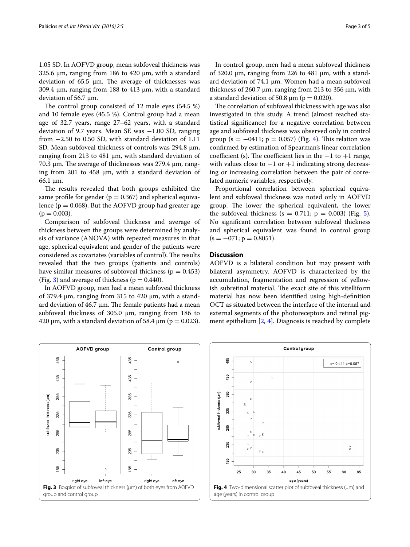1.05 SD. In AOFVD group, mean subfoveal thickness was 325.6 µm, ranging from 186 to 420 µm, with a standard deviation of  $65.5 \mu m$ . The average of thicknesses was 309.4 µm, ranging from 188 to 413 µm, with a standard deviation of 56.7 µm.

The control group consisted of 12 male eyes (54.5 %) and 10 female eyes (45.5 %). Control group had a mean age of 32.7 years, range 27–62 years, with a standard deviation of 9.7 years. Mean SE was −1.00 SD, ranging from −2.50 to 0.50 SD, with standard deviation of 1.11 SD. Mean subfoveal thickness of controls was 294.8  $\mu$ m, ranging from 213 to 481 µm, with standard deviation of 70.3 µm. The average of thicknesses was 279.4 µm, ranging from 201 to 458  $\mu$ m, with a standard deviation of  $66.1 \mu m$ .

The results revealed that both groups exhibited the same profile for gender ( $p = 0.367$ ) and spherical equivalence ( $p = 0.068$ ). But the AOFVD group had greater age  $(p = 0.003)$ .

Comparison of subfoveal thickness and average of thickness between the groups were determined by analysis of variance (ANOVA) with repeated measures in that age, spherical equivalent and gender of the patients were considered as covariates (variables of control). The results revealed that the two groups (patients and controls) have similar measures of subfoveal thickness ( $p = 0.453$ ) (Fig. [3\)](#page-2-0) and average of thickness ( $p = 0.440$ ).

In AOFVD group, men had a mean subfoveal thickness of 379.4 µm, ranging from 315 to 420 µm, with a standard deviation of  $46.7 \mu m$ . The female patients had a mean subfoveal thickness of 305.0  $\mu$ m, ranging from 186 to 420  $\mu$ m, with a standard deviation of 58.4  $\mu$ m (p = 0.023).

In control group, men had a mean subfoveal thickness of 320.0 µm, ranging from 226 to 481 µm, with a standard deviation of 74.1  $\mu$ m. Women had a mean subfoveal thickness of 260.7 µm, ranging from 213 to 356 µm, with a standard deviation of 50.8  $\mu$ m (p = 0.020).

The correlation of subfoveal thickness with age was also investigated in this study. A trend (almost reached statistical significance) for a negative correlation between age and subfoveal thickness was observed only in control group (s =  $-0411$  $-0411$  $-0411$ ; p = 0.057) (Fig. 4). This relation was confirmed by estimation of Spearman's linear correlation coefficient (s). The coefficient lies in the  $-1$  to  $+1$  range, with values close to  $-1$  or  $+1$  indicating strong decreasing or increasing correlation between the pair of correlated numeric variables, respectively.

Proportional correlation between spherical equivalent and subfoveal thickness was noted only in AOFVD group. The lower the spherical equivalent, the lower the subfoveal thickness ( $s = 0.711$ ;  $p = 0.003$ ) (Fig. [5](#page-3-0)). No significant correlation between subfoveal thickness and spherical equivalent was found in control group  $(s = -071; p = 0.8051).$ 

#### **Discussion**

AOFVD is a bilateral condition but may present with bilateral asymmetry. AOFVD is characterized by the accumulation, fragmentation and regression of yellowish subretinal material. The exact site of this vitelliform material has now been identified using high-definition OCT as situated between the interface of the internal and external segments of the photoreceptors and retinal pigment epithelium [[2,](#page-4-3) [4](#page-4-2)]. Diagnosis is reached by complete

<span id="page-2-0"></span>

<span id="page-2-1"></span>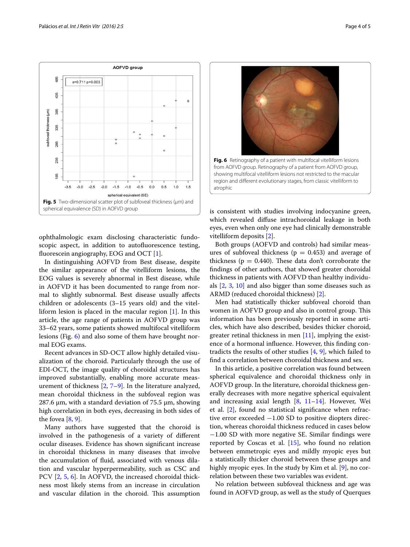

<span id="page-3-0"></span>ophthalmologic exam disclosing characteristic fundoscopic aspect, in addition to autofluorescence testing, fluorescein angiography, EOG and OCT [[1\]](#page-4-0).

In distinguishing AOFVD from Best disease, despite the similar appearance of the vitelliform lesions, the EOG values is severely abnormal in Best disease, while in AOFVD it has been documented to range from normal to slightly subnormal. Best disease usually affects children or adolescents (3–15 years old) and the vitelliform lesion is placed in the macular region [[1\]](#page-4-0). In this article, the age range of patients in AOFVD group was 33–62 years, some patients showed multifocal vitelliform lesions (Fig. [6](#page-3-1)) and also some of them have brought normal EOG exams.

Recent advances in SD-OCT allow highly detailed visualization of the choroid. Particularly through the use of EDI-OCT, the image quality of choroidal structures has improved substantially, enabling more accurate measurement of thickness [[2,](#page-4-3) [7–](#page-4-6)[9\]](#page-4-7). In the literature analyzed, mean choroidal thickness in the subfoveal region was 287.6  $\mu$ m, with a standard deviation of 75.5  $\mu$ m, showing high correlation in both eyes, decreasing in both sides of the fovea  $[8, 9]$  $[8, 9]$  $[8, 9]$  $[8, 9]$ .

Many authors have suggested that the choroid is involved in the pathogenesis of a variety of different ocular diseases. Evidence has shown significant increase in choroidal thickness in many diseases that involve the accumulation of fluid, associated with venous dilation and vascular hyperpermeability, such as CSC and PCV [\[2](#page-4-3), [5,](#page-4-4) [6\]](#page-4-5). In AOFVD, the increased choroidal thickness most likely stems from an increase in circulation and vascular dilation in the choroid. This assumption



<span id="page-3-1"></span>is consistent with studies involving indocyanine green, which revealed diffuse intrachoroidal leakage in both eyes, even when only one eye had clinically demonstrable vitelliform deposits [\[2](#page-4-3)].

Both groups (AOFVD and controls) had similar measures of subfoveal thickness ( $p = 0.453$ ) and average of thickness ( $p = 0.440$ ). These data don't corroborate the findings of other authors, that showed greater choroidal thickness in patients with AOFVD than healthy individuals [[2,](#page-4-3) [3](#page-4-1), [10\]](#page-4-9) and also bigger than some diseases such as ARMD (reduced choroidal thickness) [\[2](#page-4-3)].

Men had statistically thicker subfoveal choroid than women in AOFVD group and also in control group. This information has been previously reported in some articles, which have also described, besides thicker choroid, greater retinal thickness in men  $[11]$  $[11]$ , implying the existence of a hormonal influence. However, this finding contradicts the results of other studies [\[4](#page-4-2), [9](#page-4-7)], which failed to find a correlation between choroidal thickness and sex.

In this article, a positive correlation was found between spherical equivalence and choroidal thickness only in AOFVD group. In the literature, choroidal thickness generally decreases with more negative spherical equivalent and increasing axial length  $[8, 11-14]$  $[8, 11-14]$  $[8, 11-14]$  $[8, 11-14]$ . However, Wei et al. [\[2\]](#page-4-3), found no statistical significance when refractive error exceeded −1.00 SD to positive diopters direction, whereas choroidal thickness reduced in cases below −1.00 SD with more negative SE. Similar findings were reported by Coscas et al.  $[15]$  $[15]$  $[15]$ , who found no relation between emmetropic eyes and mildly myopic eyes but a statistically thicker choroid between these groups and highly myopic eyes. In the study by Kim et al. [\[9\]](#page-4-7), no correlation between these two variables was evident.

No relation between subfoveal thickness and age was found in AOFVD group, as well as the study of Querques